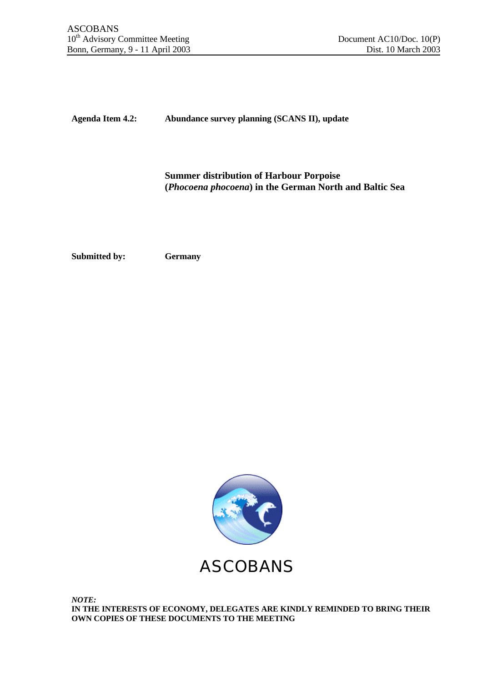**Agenda Item 4.2: Abundance survey planning (SCANS II), update**

**Summer distribution of Harbour Porpoise (***Phocoena phocoena***) in the German North and Baltic Sea**

**Submitted by: Germany**



*NOTE:* **IN THE INTERESTS OF ECONOMY, DELEGATES ARE KINDLY REMINDED TO BRING THEIR OWN COPIES OF THESE DOCUMENTS TO THE MEETING**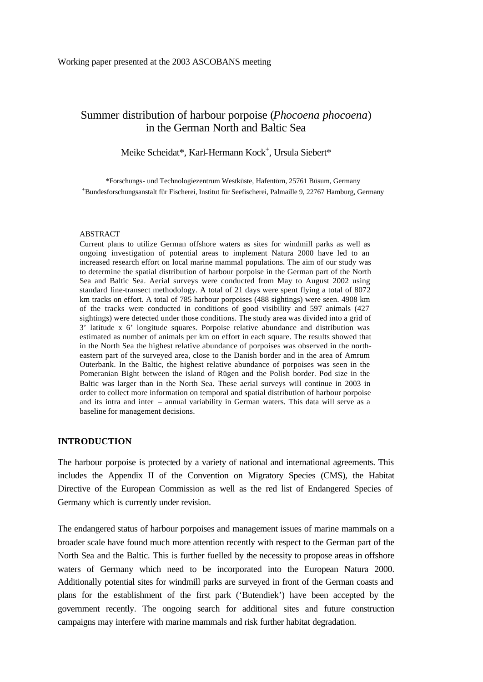# Summer distribution of harbour porpoise (*Phocoena phocoena*) in the German North and Baltic Sea

# Meike Scheidat\*, Karl-Hermann Kock<sup>+</sup>, Ursula Siebert\*

\*Forschungs- und Technologiezentrum Westküste, Hafentörn, 25761 Büsum, Germany <sup>+</sup>Bundesforschungsanstalt für Fischerei, Institut für Seefischerei, Palmaille 9, 22767 Hamburg, Germany

#### ABSTRACT

Current plans to utilize German offshore waters as sites for windmill parks as well as ongoing investigation of potential areas to implement Natura 2000 have led to an increased research effort on local marine mammal populations. The aim of our study was to determine the spatial distribution of harbour porpoise in the German part of the North Sea and Baltic Sea. Aerial surveys were conducted from May to August 2002 using standard line-transect methodology. A total of 21 days were spent flying a total of 8072 km tracks on effort. A total of 785 harbour porpoises (488 sightings) were seen. 4908 km of the tracks were conducted in conditions of good visibility and 597 animals (427 sightings) were detected under those conditions. The study area was divided into a grid of 3' latitude x 6' longitude squares. Porpoise relative abundance and distribution was estimated as number of animals per km on effort in each square. The results showed that in the North Sea the highest relative abundance of porpoises was observed in the northeastern part of the surveyed area, close to the Danish border and in the area of Amrum Outerbank. In the Baltic, the highest relative abundance of porpoises was seen in the Pomeranian Bight between the island of Rügen and the Polish border. Pod size in the Baltic was larger than in the North Sea. These aerial surveys will continue in 2003 in order to collect more information on temporal and spatial distribution of harbour porpoise and its intra and inter – annual variability in German waters. This data will serve as a baseline for management decisions.

## **INTRODUCTION**

The harbour porpoise is protected by a variety of national and international agreements. This includes the Appendix II of the Convention on Migratory Species (CMS), the Habitat Directive of the European Commission as well as the red list of Endangered Species of Germany which is currently under revision.

The endangered status of harbour porpoises and management issues of marine mammals on a broader scale have found much more attention recently with respect to the German part of the North Sea and the Baltic. This is further fuelled by the necessity to propose areas in offshore waters of Germany which need to be incorporated into the European Natura 2000. Additionally potential sites for windmill parks are surveyed in front of the German coasts and plans for the establishment of the first park ('Butendiek') have been accepted by the government recently. The ongoing search for additional sites and future construction campaigns may interfere with marine mammals and risk further habitat degradation.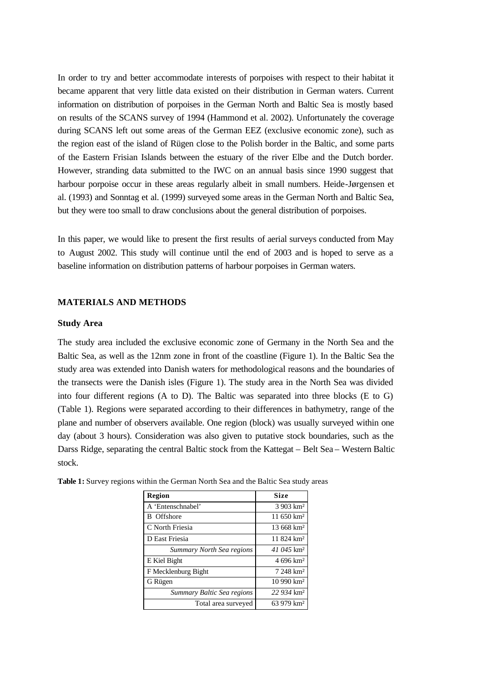In order to try and better accommodate interests of porpoises with respect to their habitat it became apparent that very little data existed on their distribution in German waters. Current information on distribution of porpoises in the German North and Baltic Sea is mostly based on results of the SCANS survey of 1994 (Hammond et al. 2002). Unfortunately the coverage during SCANS left out some areas of the German EEZ (exclusive economic zone), such as the region east of the island of Rügen close to the Polish border in the Baltic, and some parts of the Eastern Frisian Islands between the estuary of the river Elbe and the Dutch border. However, stranding data submitted to the IWC on an annual basis since 1990 suggest that harbour porpoise occur in these areas regularly albeit in small numbers. Heide-Jørgensen et al. (1993) and Sonntag et al. (1999) surveyed some areas in the German North and Baltic Sea, but they were too small to draw conclusions about the general distribution of porpoises.

In this paper, we would like to present the first results of aerial surveys conducted from May to August 2002. This study will continue until the end of 2003 and is hoped to serve as a baseline information on distribution patterns of harbour porpoises in German waters.

#### **MATERIALS AND METHODS**

#### **Study Area**

The study area included the exclusive economic zone of Germany in the North Sea and the Baltic Sea, as well as the 12nm zone in front of the coastline (Figure 1). In the Baltic Sea the study area was extended into Danish waters for methodological reasons and the boundaries of the transects were the Danish isles (Figure 1). The study area in the North Sea was divided into four different regions (A to D). The Baltic was separated into three blocks (E to G) (Table 1). Regions were separated according to their differences in bathymetry, range of the plane and number of observers available. One region (block) was usually surveyed within one day (about 3 hours). Consideration was also given to putative stock boundaries, such as the Darss Ridge, separating the central Baltic stock from the Kattegat – Belt Sea – Western Baltic stock.

| Region                     | Size                     |
|----------------------------|--------------------------|
| A 'Entenschnabel'          | 3 903 km <sup>2</sup>    |
| <b>B</b> Offshore          | 11.650 km <sup>2</sup>   |
| C North Friesia            | $13.668$ km <sup>2</sup> |
| D East Friesia             | 11 824 km <sup>2</sup>   |
| Summary North Sea regions  | $41.045$ km <sup>2</sup> |
| E Kiel Bight               | 4 696 km <sup>2</sup>    |
| F Mecklenburg Bight        | 7 248 km <sup>2</sup>    |
| G Rügen                    | $10990 \mathrm{km}^2$    |
| Summary Baltic Sea regions | 22 934 km <sup>2</sup>   |
| Total area surveyed        | 63 979 km <sup>2</sup>   |

**Table 1:** Survey regions within the German North Sea and the Baltic Sea study areas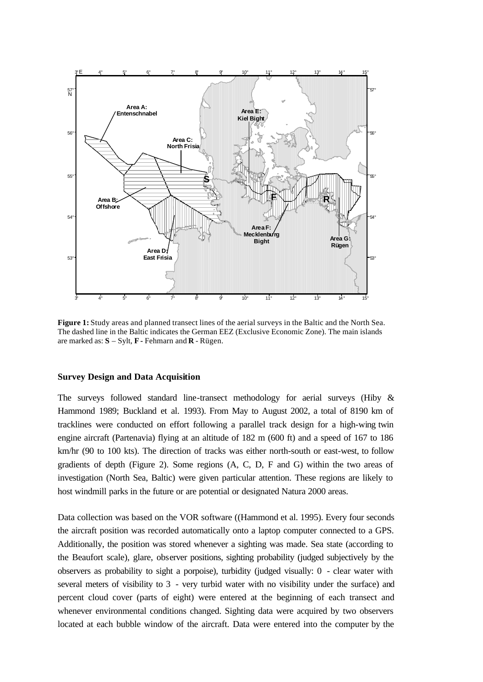

**Figure 1:** Study areas and planned transect lines of the aerial surveys in the Baltic and the North Sea. The dashed line in the Baltic indicates the German EEZ (Exclusive Economic Zone). The main islands are marked as: **S** – Sylt, **F -** Fehmarn and **R** - Rügen.

#### **Survey Design and Data Acquisition**

The surveys followed standard line-transect methodology for aerial surveys (Hiby & Hammond 1989; Buckland et al. 1993). From May to August 2002, a total of 8190 km of tracklines were conducted on effort following a parallel track design for a high-wing twin engine aircraft (Partenavia) flying at an altitude of 182 m (600 ft) and a speed of 167 to 186 km/hr (90 to 100 kts). The direction of tracks was either north-south or east-west, to follow gradients of depth (Figure 2). Some regions (A, C, D, F and G) within the two areas of investigation (North Sea, Baltic) were given particular attention. These regions are likely to host windmill parks in the future or are potential or designated Natura 2000 areas.

Data collection was based on the VOR software ((Hammond et al. 1995). Every four seconds the aircraft position was recorded automatically onto a laptop computer connected to a GPS. Additionally, the position was stored whenever a sighting was made. Sea state (according to the Beaufort scale), glare, observer positions, sighting probability (judged subjectively by the observers as probability to sight a porpoise), turbidity (judged visually: 0 - clear water with several meters of visibility to 3 - very turbid water with no visibility under the surface) and percent cloud cover (parts of eight) were entered at the beginning of each transect and whenever environmental conditions changed. Sighting data were acquired by two observers located at each bubble window of the aircraft. Data were entered into the computer by the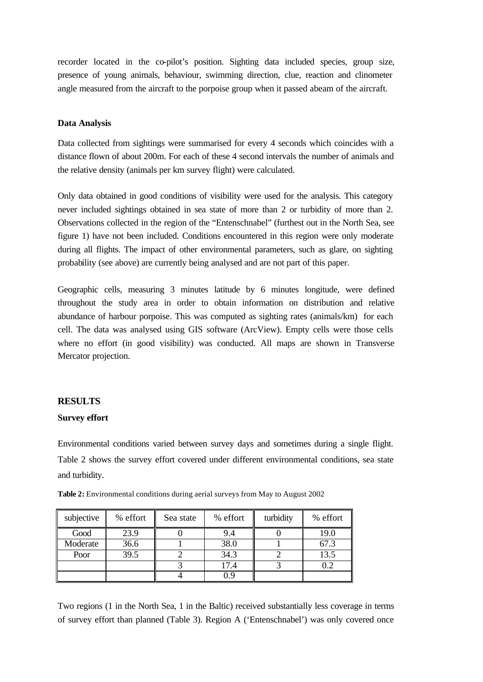recorder located in the co-pilot's position. Sighting data included species, group size, presence of young animals, behaviour, swimming direction, clue, reaction and clinometer angle measured from the aircraft to the porpoise group when it passed abeam of the aircraft.

## **Data Analysis**

Data collected from sightings were summarised for every 4 seconds which coincides with a distance flown of about 200m. For each of these 4 second intervals the number of animals and the relative density (animals per km survey flight) were calculated.

Only data obtained in good conditions of visibility were used for the analysis. This category never included sightings obtained in sea state of more than 2 or turbidity of more than 2. Observations collected in the region of the "Entenschnabel" (furthest out in the North Sea, see figure 1) have not been included. Conditions encountered in this region were only moderate during all flights. The impact of other environmental parameters, such as glare, on sighting probability (see above) are currently being analysed and are not part of this paper.

Geographic cells, measuring 3 minutes latitude by 6 minutes longitude, were defined throughout the study area in order to obtain information on distribution and relative abundance of harbour porpoise. This was computed as sighting rates (animals/km) for each cell. The data was analysed using GIS software (ArcView). Empty cells were those cells where no effort (in good visibility) was conducted. All maps are shown in Transverse Mercator projection.

#### **RESULTS**

#### **Survey effort**

Environmental conditions varied between survey days and sometimes during a single flight. Table 2 shows the survey effort covered under different environmental conditions, sea state and turbidity.

| subjective | % effort | Sea state | % effort | turbidity | % effort |
|------------|----------|-----------|----------|-----------|----------|
| Good       | 23.9     |           | 9.4      |           | 19.0     |
| Moderate   | 36.6     |           | 38.0     |           | 67.3     |
| Poor       | 39.5     |           | 34.3     |           | 13.5     |
|            |          |           | 17.4     |           | 0.2      |
|            |          |           | 0.9      |           |          |

**Table 2:** Environmental conditions during aerial surveys from May to August 2002

Two regions (1 in the North Sea, 1 in the Baltic) received substantially less coverage in terms of survey effort than planned (Table 3). Region A ('Entenschnabel') was only covered once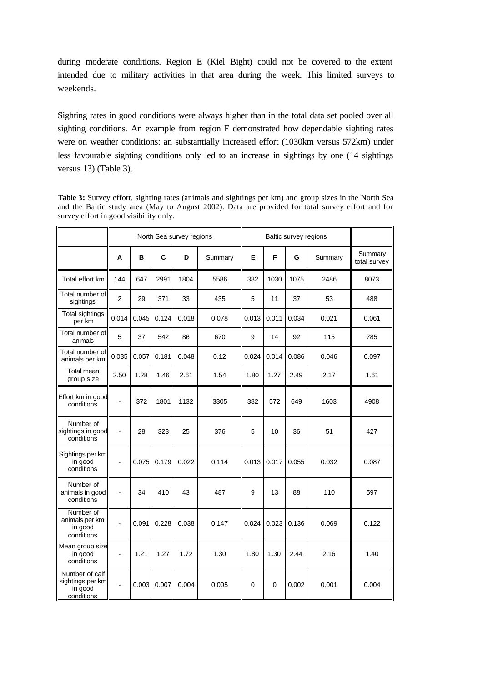during moderate conditions. Region E (Kiel Bight) could not be covered to the extent intended due to military activities in that area during the week. This limited surveys to weekends.

Sighting rates in good conditions were always higher than in the total data set pooled over all sighting conditions. An example from region F demonstrated how dependable sighting rates were on weather conditions: an substantially increased effort (1030km versus 572km) under less favourable sighting conditions only led to an increase in sightings by one (14 sightings versus 13) (Table 3).

**Table 3:** Survey effort, sighting rates (animals and sightings per km) and group sizes in the North Sea and the Baltic study area (May to August 2002). Data are provided for total survey effort and for survey effort in good visibility only.

|                                                             | North Sea survey regions |       |       |       |         | Baltic survey regions |       |       |         |                         |
|-------------------------------------------------------------|--------------------------|-------|-------|-------|---------|-----------------------|-------|-------|---------|-------------------------|
|                                                             | A                        | B     | C     | D     | Summary | E                     | F     | G     | Summary | Summary<br>total survey |
| Total effort km                                             | 144                      | 647   | 2991  | 1804  | 5586    | 382                   | 1030  | 1075  | 2486    | 8073                    |
| Total number of<br>sightings                                | $\overline{2}$           | 29    | 371   | 33    | 435     | 5                     | 11    | 37    | 53      | 488                     |
| Total sightings<br>per km                                   | 0.014                    | 0.045 | 0.124 | 0.018 | 0.078   | 0.013                 | 0.011 | 0.034 | 0.021   | 0.061                   |
| Total number of<br>animals                                  | 5                        | 37    | 542   | 86    | 670     | 9                     | 14    | 92    | 115     | 785                     |
| Total number of<br>animals per km                           | 0.035                    | 0.057 | 0.181 | 0.048 | 0.12    | 0.024                 | 0.014 | 0.086 | 0.046   | 0.097                   |
| Total mean<br>group size                                    | 2.50                     | 1.28  | 1.46  | 2.61  | 1.54    | 1.80                  | 1.27  | 2.49  | 2.17    | 1.61                    |
| Effort km in good<br>conditions                             | $\overline{a}$           | 372   | 1801  | 1132  | 3305    | 382                   | 572   | 649   | 1603    | 4908                    |
| Number of<br>sightings in good<br>conditions                | $\overline{a}$           | 28    | 323   | 25    | 376     | 5                     | 10    | 36    | 51      | 427                     |
| Sightings per km<br>in good<br>conditions                   | $\overline{a}$           | 0.075 | 0.179 | 0.022 | 0.114   | 0.013                 | 0.017 | 0.055 | 0.032   | 0.087                   |
| Number of<br>animals in good<br>conditions                  | $\overline{a}$           | 34    | 410   | 43    | 487     | 9                     | 13    | 88    | 110     | 597                     |
| Number of<br>animals per km<br>in good<br>conditions        |                          | 0.091 | 0.228 | 0.038 | 0.147   | 0.024                 | 0.023 | 0.136 | 0.069   | 0.122                   |
| Mean group size<br>in good<br>conditions                    | $\blacksquare$           | 1.21  | 1.27  | 1.72  | 1.30    | 1.80                  | 1.30  | 2.44  | 2.16    | 1.40                    |
| Number of calf<br>sightings per km<br>in good<br>conditions |                          | 0.003 | 0.007 | 0.004 | 0.005   | 0                     | 0     | 0.002 | 0.001   | 0.004                   |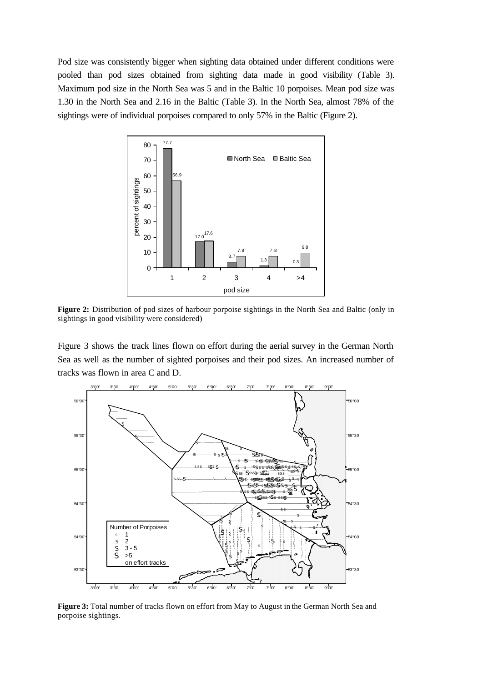Pod size was consistently bigger when sighting data obtained under different conditions were pooled than pod sizes obtained from sighting data made in good visibility (Table 3). Maximum pod size in the North Sea was 5 and in the Baltic 10 porpoises. Mean pod size was 1.30 in the North Sea and 2.16 in the Baltic (Table 3). In the North Sea, almost 78% of the sightings were of individual porpoises compared to only 57% in the Baltic (Figure 2).



**Figure 2:** Distribution of pod sizes of harbour porpoise sightings in the North Sea and Baltic (only in sightings in good visibility were considered)

Figure 3 shows the track lines flown on effort during the aerial survey in the German North Sea as well as the number of sighted porpoises and their pod sizes. An increased number of tracks was flown in area C and D.



**Figure 3:** Total number of tracks flown on effort from May to August in the German North Sea and porpoise sightings.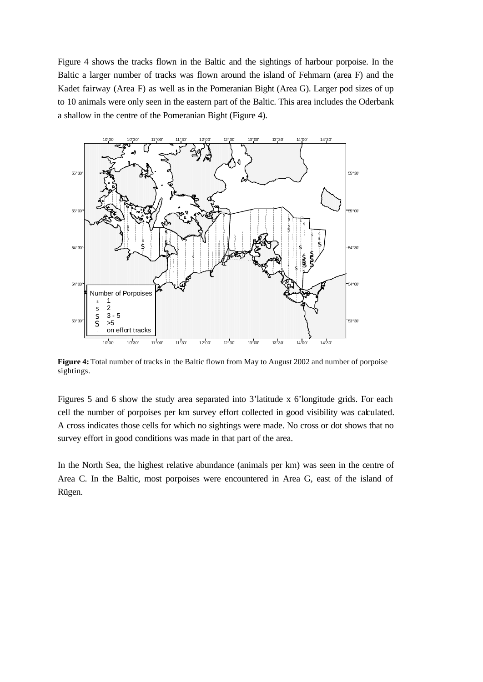Figure 4 shows the tracks flown in the Baltic and the sightings of harbour porpoise. In the Baltic a larger number of tracks was flown around the island of Fehmarn (area F) and the Kadet fairway (Area F) as well as in the Pomeranian Bight (Area G). Larger pod sizes of up to 10 animals were only seen in the eastern part of the Baltic. This area includes the Oderbank a shallow in the centre of the Pomeranian Bight (Figure 4).



**Figure 4:** Total number of tracks in the Baltic flown from May to August 2002 and number of porpoise sightings.

Figures 5 and 6 show the study area separated into 3'latitude x 6'longitude grids. For each cell the number of porpoises per km survey effort collected in good visibility was calculated. A cross indicates those cells for which no sightings were made. No cross or dot shows that no survey effort in good conditions was made in that part of the area.

In the North Sea, the highest relative abundance (animals per km) was seen in the centre of Area C. In the Baltic, most porpoises were encountered in Area G, east of the island of Rügen.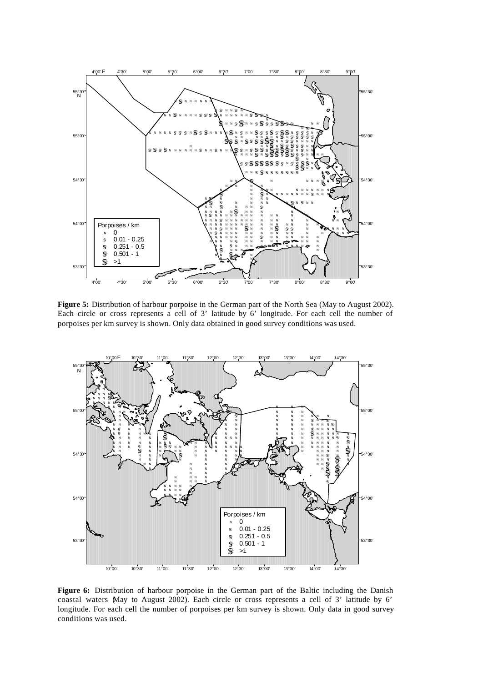

**Figure 5:** Distribution of harbour porpoise in the German part of the North Sea (May to August 2002). Each circle or cross represents a cell of 3' latitude by 6' longitude. For each cell the number of porpoises per km survey is shown. Only data obtained in good survey conditions was used.



**Figure 6:** Distribution of harbour porpoise in the German part of the Baltic including the Danish coastal waters (May to August 2002). Each circle or cross represents a cell of 3' latitude by 6' longitude. For each cell the number of porpoises per km survey is shown. Only data in good survey conditions was used.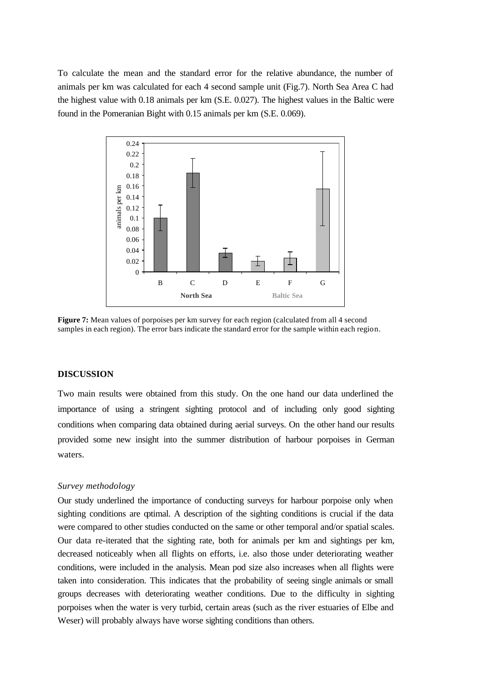To calculate the mean and the standard error for the relative abundance, the number of animals per km was calculated for each 4 second sample unit (Fig.7). North Sea Area C had the highest value with 0.18 animals per km (S.E. 0.027). The highest values in the Baltic were found in the Pomeranian Bight with 0.15 animals per km (S.E. 0.069).



**Figure 7:** Mean values of porpoises per km survey for each region (calculated from all 4 second samples in each region). The error bars indicate the standard error for the sample within each region.

### **DISCUSSION**

Two main results were obtained from this study. On the one hand our data underlined the importance of using a stringent sighting protocol and of including only good sighting conditions when comparing data obtained during aerial surveys. On the other hand our results provided some new insight into the summer distribution of harbour porpoises in German waters.

## *Survey methodology*

Our study underlined the importance of conducting surveys for harbour porpoise only when sighting conditions are optimal. A description of the sighting conditions is crucial if the data were compared to other studies conducted on the same or other temporal and/or spatial scales. Our data re-iterated that the sighting rate, both for animals per km and sightings per km, decreased noticeably when all flights on efforts, i.e. also those under deteriorating weather conditions, were included in the analysis. Mean pod size also increases when all flights were taken into consideration. This indicates that the probability of seeing single animals or small groups decreases with deteriorating weather conditions. Due to the difficulty in sighting porpoises when the water is very turbid, certain areas (such as the river estuaries of Elbe and Weser) will probably always have worse sighting conditions than others.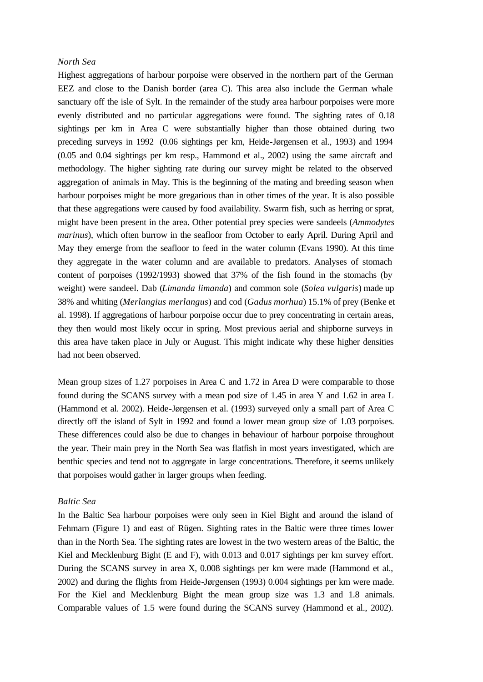## *North Sea*

Highest aggregations of harbour porpoise were observed in the northern part of the German EEZ and close to the Danish border (area C). This area also include the German whale sanctuary off the isle of Sylt. In the remainder of the study area harbour porpoises were more evenly distributed and no particular aggregations were found. The sighting rates of 0.18 sightings per km in Area C were substantially higher than those obtained during two preceding surveys in 1992 (0.06 sightings per km, Heide-Jørgensen et al., 1993) and 1994 (0.05 and 0.04 sightings per km resp., Hammond et al., 2002) using the same aircraft and methodology. The higher sighting rate during our survey might be related to the observed aggregation of animals in May. This is the beginning of the mating and breeding season when harbour porpoises might be more gregarious than in other times of the year. It is also possible that these aggregations were caused by food availability. Swarm fish, such as herring or sprat, might have been present in the area. Other potential prey species were sandeels (*Ammodytes marinus*), which often burrow in the seafloor from October to early April. During April and May they emerge from the seafloor to feed in the water column (Evans 1990). At this time they aggregate in the water column and are available to predators. Analyses of stomach content of porpoises (1992/1993) showed that 37% of the fish found in the stomachs (by weight) were sandeel. Dab (*Limanda limanda*) and common sole (*Solea vulgaris*) made up 38% and whiting (*Merlangius merlangus*) and cod (*Gadus morhua*) 15.1% of prey (Benke et al. 1998). If aggregations of harbour porpoise occur due to prey concentrating in certain areas, they then would most likely occur in spring. Most previous aerial and shipborne surveys in this area have taken place in July or August. This might indicate why these higher densities had not been observed.

Mean group sizes of 1.27 porpoises in Area C and 1.72 in Area D were comparable to those found during the SCANS survey with a mean pod size of 1.45 in area Y and 1.62 in area L (Hammond et al. 2002). Heide-Jørgensen et al. (1993) surveyed only a small part of Area C directly off the island of Sylt in 1992 and found a lower mean group size of 1.03 porpoises. These differences could also be due to changes in behaviour of harbour porpoise throughout the year. Their main prey in the North Sea was flatfish in most years investigated, which are benthic species and tend not to aggregate in large concentrations. Therefore, it seems unlikely that porpoises would gather in larger groups when feeding.

### *Baltic Sea*

In the Baltic Sea harbour porpoises were only seen in Kiel Bight and around the island of Fehmarn (Figure 1) and east of Rügen. Sighting rates in the Baltic were three times lower than in the North Sea. The sighting rates are lowest in the two western areas of the Baltic, the Kiel and Mecklenburg Bight (E and F), with 0.013 and 0.017 sightings per km survey effort. During the SCANS survey in area X, 0.008 sightings per km were made (Hammond et al., 2002) and during the flights from Heide-Jørgensen (1993) 0.004 sightings per km were made. For the Kiel and Mecklenburg Bight the mean group size was 1.3 and 1.8 animals. Comparable values of 1.5 were found during the SCANS survey (Hammond et al., 2002).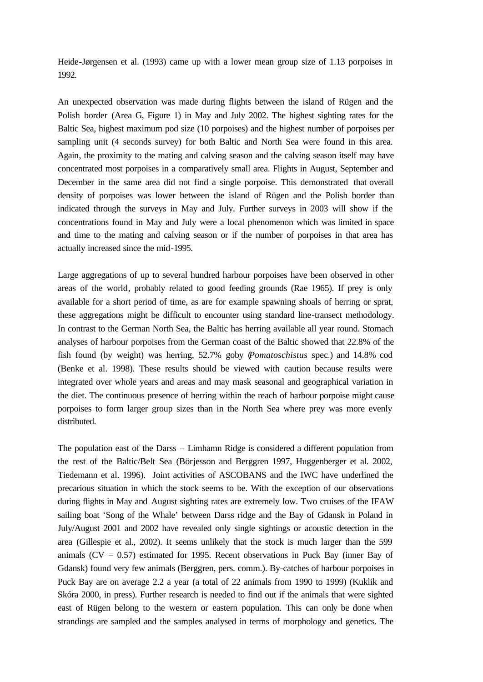Heide-Jørgensen et al. (1993) came up with a lower mean group size of 1.13 porpoises in 1992.

An unexpected observation was made during flights between the island of Rügen and the Polish border (Area G, Figure 1) in May and July 2002. The highest sighting rates for the Baltic Sea, highest maximum pod size (10 porpoises) and the highest number of porpoises per sampling unit (4 seconds survey) for both Baltic and North Sea were found in this area. Again, the proximity to the mating and calving season and the calving season itself may have concentrated most porpoises in a comparatively small area. Flights in August, September and December in the same area did not find a single porpoise. This demonstrated that overall density of porpoises was lower between the island of Rügen and the Polish border than indicated through the surveys in May and July. Further surveys in 2003 will show if the concentrations found in May and July were a local phenomenon which was limited in space and time to the mating and calving season or if the number of porpoises in that area has actually increased since the mid-1995.

Large aggregations of up to several hundred harbour porpoises have been observed in other areas of the world, probably related to good feeding grounds (Rae 1965). If prey is only available for a short period of time, as are for example spawning shoals of herring or sprat, these aggregations might be difficult to encounter using standard line-transect methodology. In contrast to the German North Sea, the Baltic has herring available all year round. Stomach analyses of harbour porpoises from the German coast of the Baltic showed that 22.8% of the fish found (by weight) was herring, 52.7% goby (*Pomatoschistus* spec.) and 14.8% cod (Benke et al. 1998). These results should be viewed with caution because results were integrated over whole years and areas and may mask seasonal and geographical variation in the diet. The continuous presence of herring within the reach of harbour porpoise might cause porpoises to form larger group sizes than in the North Sea where prey was more evenly distributed.

The population east of the Darss – Limhamn Ridge is considered a different population from the rest of the Baltic/Belt Sea (Börjesson and Berggren 1997, Huggenberger et al. 2002, Tiedemann et al. 1996). Joint activities of ASCOBANS and the IWC have underlined the precarious situation in which the stock seems to be. With the exception of our observations during flights in May and August sighting rates are extremely low. Two cruises of the IFAW sailing boat 'Song of the Whale' between Darss ridge and the Bay of Gdansk in Poland in July/August 2001 and 2002 have revealed only single sightings or acoustic detection in the area (Gillespie et al., 2002). It seems unlikely that the stock is much larger than the 599 animals  $(CV = 0.57)$  estimated for 1995. Recent observations in Puck Bay (inner Bay of Gdansk) found very few animals (Berggren, pers. comm.). By-catches of harbour porpoises in Puck Bay are on average 2.2 a year (a total of 22 animals from 1990 to 1999) (Kuklik and Skóra 2000, in press). Further research is needed to find out if the animals that were sighted east of Rügen belong to the western or eastern population. This can only be done when strandings are sampled and the samples analysed in terms of morphology and genetics. The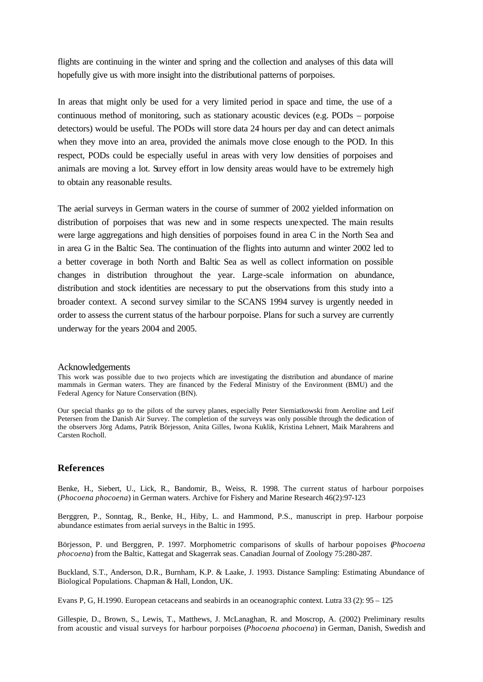flights are continuing in the winter and spring and the collection and analyses of this data will hopefully give us with more insight into the distributional patterns of porpoises.

In areas that might only be used for a very limited period in space and time, the use of a continuous method of monitoring, such as stationary acoustic devices (e.g. PODs – porpoise detectors) would be useful. The PODs will store data 24 hours per day and can detect animals when they move into an area, provided the animals move close enough to the POD. In this respect, PODs could be especially useful in areas with very low densities of porpoises and animals are moving a lot. Survey effort in low density areas would have to be extremely high to obtain any reasonable results.

The aerial surveys in German waters in the course of summer of 2002 yielded information on distribution of porpoises that was new and in some respects unexpected. The main results were large aggregations and high densities of porpoises found in area C in the North Sea and in area G in the Baltic Sea. The continuation of the flights into autumn and winter 2002 led to a better coverage in both North and Baltic Sea as well as collect information on possible changes in distribution throughout the year. Large-scale information on abundance, distribution and stock identities are necessary to put the observations from this study into a broader context. A second survey similar to the SCANS 1994 survey is urgently needed in order to assess the current status of the harbour porpoise. Plans for such a survey are currently underway for the years 2004 and 2005.

#### Acknowledgements

This work was possible due to two projects which are investigating the distribution and abundance of marine mammals in German waters. They are financed by the Federal Ministry of the Environment (BMU) and the Federal Agency for Nature Conservation (BfN).

Our special thanks go to the pilots of the survey planes, especially Peter Siemiatkowski from Aeroline and Leif Petersen from the Danish Air Survey. The completion of the surveys was only possible through the dedication of the observers Jörg Adams, Patrik Börjesson, Anita Gilles, Iwona Kuklik, Kristina Lehnert, Maik Marahrens and Carsten Rocholl.

### **References**

Benke, H., Siebert, U., Lick, R., Bandomir, B., Weiss, R. 1998. The current status of harbour porpoises (*Phocoena phocoena*) in German waters. Archive for Fishery and Marine Research 46(2):97-123

Berggren, P., Sonntag, R., Benke, H., Hiby, L. and Hammond, P.S., manuscript in prep. Harbour porpoise abundance estimates from aerial surveys in the Baltic in 1995.

Börjesson, P. und Berggren, P. 1997. Morphometric comparisons of skulls of harbour popoises (*Phocoena phocoena*) from the Baltic, Kattegat and Skagerrak seas. Canadian Journal of Zoology 75:280-287.

Buckland, S.T., Anderson, D.R., Burnham, K.P. & Laake, J. 1993. Distance Sampling: Estimating Abundance of Biological Populations. Chapman & Hall, London, UK.

Evans P, G, H.1990. European cetaceans and seabirds in an oceanographic context. Lutra 33 (2): 95 – 125

Gillespie, D., Brown, S., Lewis, T., Matthews, J. McLanaghan, R. and Moscrop, A. (2002) Preliminary results from acoustic and visual surveys for harbour porpoises (*Phocoena phocoena*) in German, Danish, Swedish and